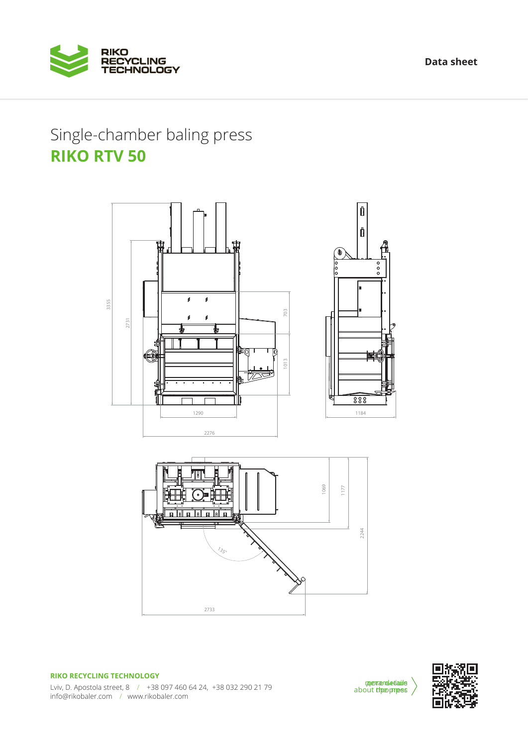**Data sheet**



## **RIKO RTV 50**





**RIKO RECYCLING TECHNOLOGY** Lviv, D. Apostola street, 8 / +38 097 460 64 24, +38 032 290 21 79 info@rikobaler.com / www.rikobaler.com

*merrændetiaile* about the press